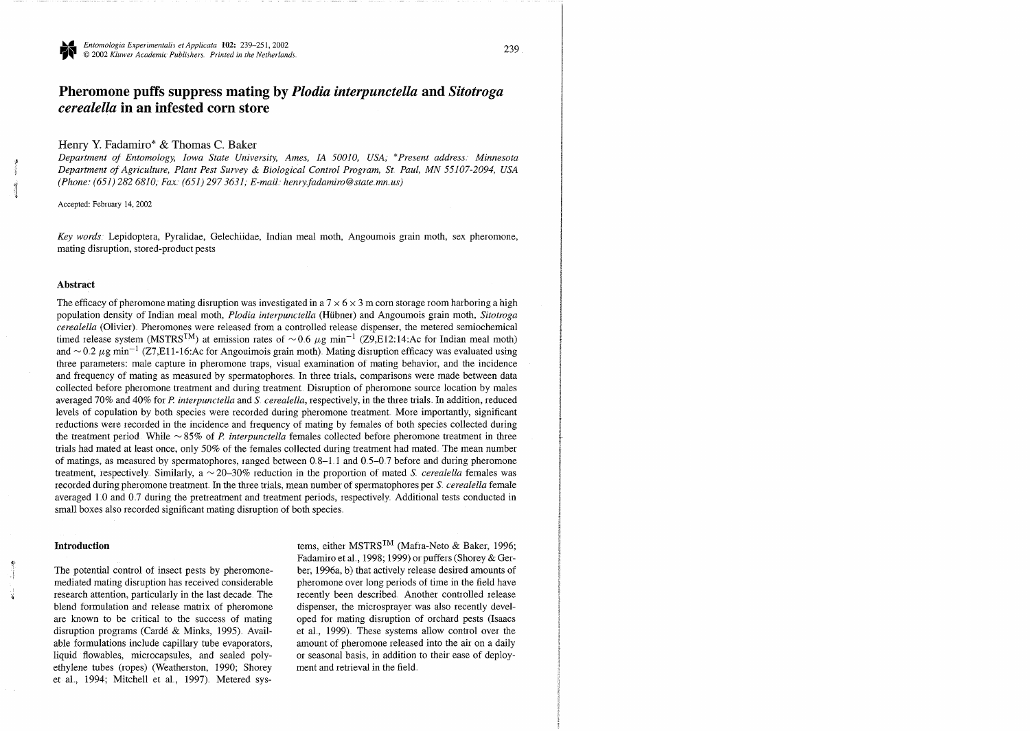# **Pheromone puffs suppress mating by** *Plodia interpunctella* **and** *Sitotroga cerealella* **in an infested corn store**

## Henry **Y.** Fadamiro\* & Thomas **C.** Baker

Department of Entomology, Iowa State University, Ames, IA 50010, USA, \*Present address: Minnesota *Department of Agriculture, Plant Pest Survey & Biological Control Program, St. Paul, MN 55107-2094, USA* I *(Phone\* (651) 282 6810,* **Fax** *(651) 297 3631, E-mazl henry fadamwoC3state mn us)* 

Accepted: Februay 14,2002

*Key words* Lepidoptera, Pyralidae, Gelechiidae, Indian meal moth, Angoumois grain moth, sex pheromone, mating disruption, stored-product pests

## **Abstract**

The efficacy of pheromone mating disruption was investigated in a  $7 \times 6 \times 3$  m corn storage room harboring a high population density of Indian meal moth, *Plodia interpunctella* (Hübner) and Angoumois grain moth, *Sitotroga cerealella* (Olivier) Pheromones were released from a controlled release dispenser, the metered semiochemical timed release system (MSTRS<sup>TM</sup>) at emission rates of  $\sim 0.6 \ \mu$ g min<sup>-1</sup> (Z9,E12:14:Ac for Indian meal moth) and  $\sim$  0.2  $\mu$ g min<sup>-1</sup> (Z7,E11-16:Ac for Angouimois grain moth). Mating disruption efficacy was evaluated using three parameters: male capture in pheromone traps, visual examination of mating behavior, and the incidence and frequency of mating as measured by spermatophores In three trials, comparisons were made between data collected before pheromone treatment and during treatment Disruption of pheromone source location by males averaged 70% and 40% for *P. interpunctella* and *S. cerealella*, respectively, in the three trials. In addition, reduced levels of copulation by both species were recorded during pheromone treatment More importantly, significant reductions were recorded in the incidence and frequency of mating by females of both species collected during the treatment period. While  $\sim$  85% of *P. interpunctella* females collected before pheromone treatment in thr trials had mated at least once, only 50% of the females collected during treatment had mated The mean number of matings, as measured by spermatophores, ranged between  $0.8-1.1$  and  $0.5-0.7$  before and during pheromone treatment, respectively. Similarly,  $a \sim 20-30\%$  reduction in the proportion of mated *S. cerealella* females was recorded during pheromone treatment In the three trials, mean number of spermatophores per *S ~erealella* lemale averaged 1.0 and 0.7 during the pretreatment and treatment periods, respectively. Additional tests conducted in small boxes also recorded significant mating disruption of both species

## **Introduction**

*9(* 

The potential control of insect pests by pheromonemediated mating disruption has received considerable **i** research attention, particularly in the last decade The blend formulation and release matrix of pheromone are known to be critical to the success of mating disruption programs (Card6 & Minks, 1995) Available formulations include capillary tube evaporators, liquid flowables, microcapsules, and sealed polyethylene tubes (ropes) (Weatherston, 1990; Shorey et al., 1994; Mitchell et al., 1997). Metered sys-

tems, either MSTRS<sup>TM</sup> (Mafra-Neto & Baker, 1996; Fadamiro et al., 1998; 1999) or puffers (Shorey & Gerber, 1996a, b) that actively release desired amounts of pheromone over long periods of time in the field have recently been described Another controlled release dispenser, the microsprayer was also recently developed for mating disruption of orchard pests (Isaacs et al., 1999). These systems allow control over the amount of pheromone released into the air on a daily or seasonal basis, in addition to their ease of deployment and retrieval in the field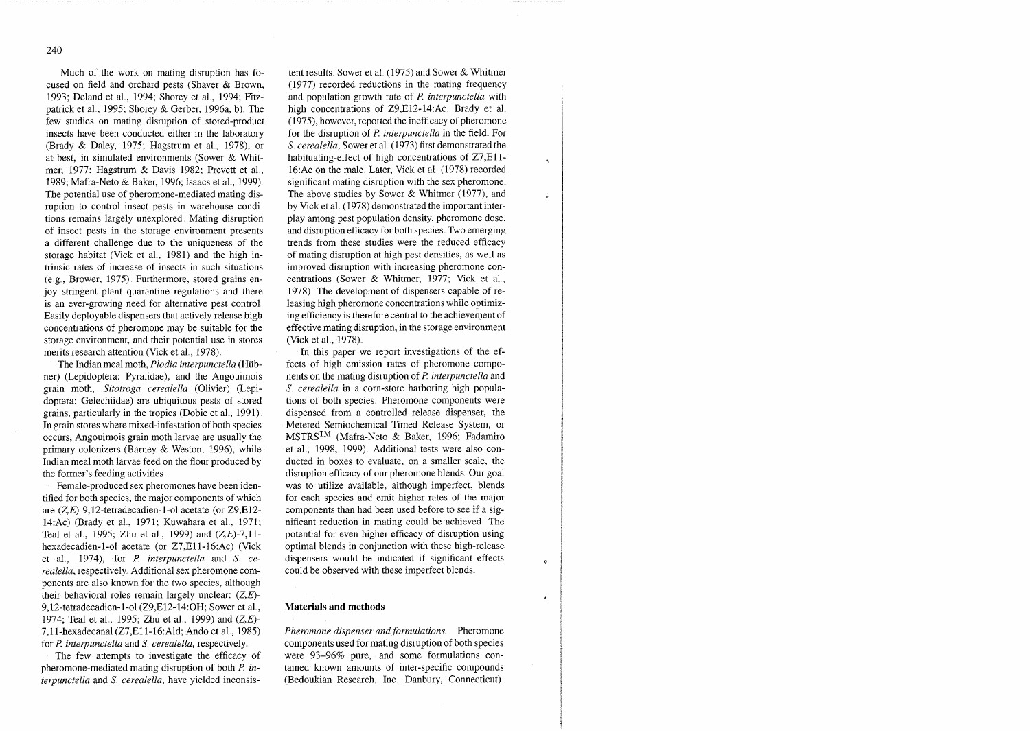Much of the work on mating disruption has focused on field and orchard pests (Shaver & Brown, 1993; Deland et al., 1994; Shorey et al., 1994; Fitzpatrick et al., 1995; Shorey & Gerber, 1996a, b). The few studies on mating disruption of stored-product insects have been conducted either in the laboratory (Brady & Daley, 1975; Hagstrum et al., 1978), or at best, in simulated environments (Sower & Whitmer, 1977; Hagstrum & Davis 1982; Prevett et al., 1989; Mafra-Net0 & Baker, 1996; Isaacs et a1 , 1999) The potential use of pheromone-mediated mating disruption to control insect pests in warehouse conditions remains largely unexplored Mating disruption of insect pests in the storage environment presents a different challenge due to the uniqueness of the storage habitat (Vick et al., 1981) and the high intrinsic rates of increase of insects in such situations (eg , Brower, 1975) Furthermore, stored grains enjoy stringent plant quarantine regulations and there is an ever-growing need for alternative pest control Easily deployable dispensers that actively release high concentrations of pheromone may be suitable for the storage environment, and their potential use in stores merits research attention (Vick et al., 1978).

The Indian meal moth, *Plodia interpunctella* (Hübner) (Lepidoptera: Pyralidae), and the Angouimois grain moth, Sitotroga cerealella (Olivier) (Lepidoptera: Gelechiidae) are ubiquitous pests of stored grains, particularly in the tropics (Dobie et al., 1991). In grain stores where mixed-infestation of both species occurs, Angouimois grain moth larvae are usually the primary colonizers (Barney & Weston, 1996), while Indian meal moth larvae feed on the flour produced by the former's feeding activities

Female-produced sex pheromones have been identified for both species, the major components of which are **(Z,E)-9,12-tetradecadien-** 1-01 acetate (or Z9,E12- 14:Ac) (Brady et al., 1971; Kuwahara et al., 1971; Teal et al., 1995; Zhu et al., 1999) and  $(Z,E)$ -7,11hexadecadien-1-ol acetate (or Z7,E11-16:Ac) (Vick et al., 1974), for *P. interpunctella* and *S. cerealella*, respectively. Additional sex pheromone components are also known for the two species, although their behavioral roles remain largely unclear:  $(Z,E)$ -9,12-tetradecadien-1-01 (Z9,El2-14:OH; Sower et a1 , 1974; Teal et al., 1995; Zhu et al., 1999) and *(Z,E)*-7,11-hexadecanal (Z7,E11-16:Ald; Ando et al., 1985) for *P. interpunctella* and *S. cerealella*, respectively.

The few attempts to investigate the efficacy of pheromone-mediated mating disruption of both *R interpunctella* and *S. cerealella*, have yielded inconsis-

tent results. Sower et al. (1975) and Sower & Whitmer (19'77) recorded reductions in the mating frequency and population growth rate of *P. interpunctella* with high concentrations of Z9,E12-14:Ac. Brady et al. (1975), however, reported the inefficacy of pheromone for the disruption of *P. interpunctella* in the field. For *S. cerealella, Sower et al. (1973) first demonstrated the* habituating-effect of high concentrations of Z7,Ell-16:Ac on the male. Later, Vick et al. (1978) recorded significant mating disruption with the sex pheromone. The above studies by Sower  $&$  Whitmer (1977), and by Vick et a1 (1978) demonstrated the important interplay among pest population density, pheromone dose, and disruption efficacy for both species Two emerging trends from these studies were the reduced efficacy of mating disruption at high pest densities, as well as improved disruption with increasing pheromone concentrations (Sower & Whitmer, 1977; Vick et al., 1978) The development of dispensers capable of releasing high pheromone concentrations while optimizing efficiency is therefore central to the achievement of effective mating disruption, in the storage environment (Vick et al., 1978).

In this paper we report investigations of the effects of high emission rates of pheromone components on the mating disruption of P. *interpunctella* and *S cerealella* in a corn-store harboring high populations of both species Pheromone components were dispensed from a controlled release dispenser, the Metered Semiochemical Timed Release System, or MSTRS<sup>TM</sup> (Mafra-Neto & Baker, 1996; Fadamiro et al., 1998, 1999). Additional tests were also conducted in boxes to evaluate, on a smaller scale, the disruption efficacy of our pheromone blends. Our goal was to utilize available, although imperfect, blends for each species and emit higher rates of the major components than had been used before to see if a significant reduction in mating could be achieved The potential for even higher efficacy of disruption using optimal blends in conjunction with these high-release dispensers would be indicated if significant effects could be observed with these imperfect blends

#### **Materials and methods**

*Pheromone dispenser and formulations* Pheromone components used for mating disruption of both species were 93-96% pure, and some formulations contained known amounts of inter-specific compounds (Bedoukian Research, Inc. Danbury, Connecticut).

 $\hat{\pmb{z}}$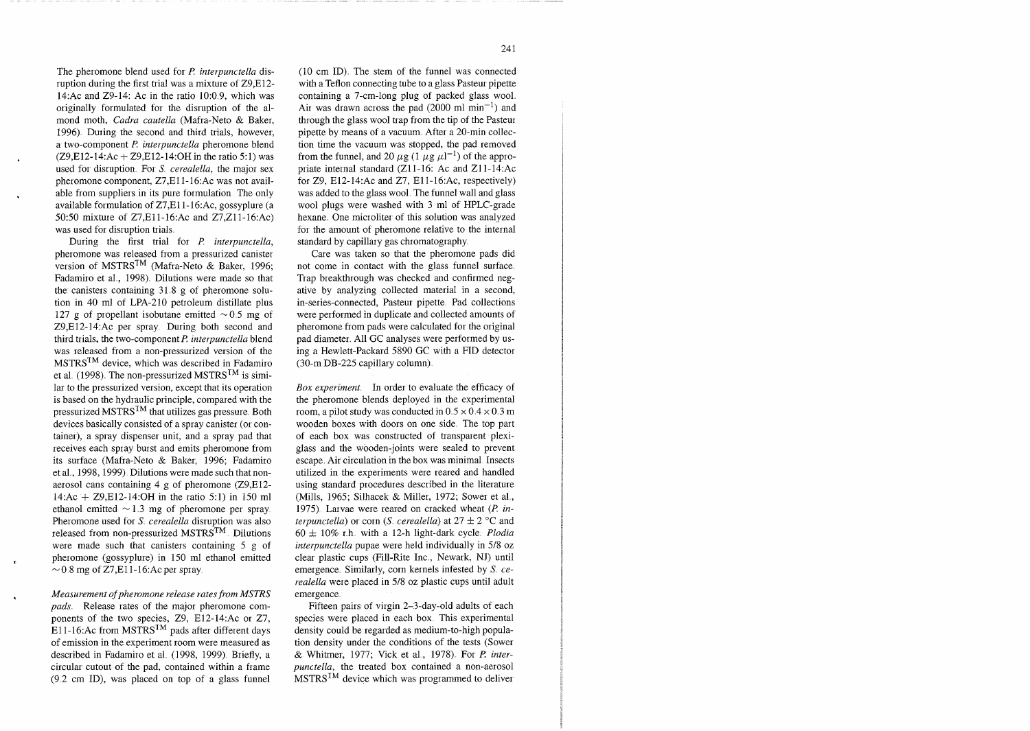The pheromone blend used for *P. interpunctella* disruption during the first trial was a mixture of Z9,E12- 14:Ac and Z9-14: Ac in the ratio 1O:O 9, which was originally formulated for the disruption of the almond moth, *Cudru cuutellu* (Mafra-Net0 & Baker, 1996). During the second and third trials, however, a two-component P. interpunctella pheromone blend  $(Z9,E12-14:Ac + Z9,E12-14:OH$  in the ratio 5:1) was used for disruption. For *S. cerealella*, the major sex pheromone component, Z7,El 1-16:Ac was not available from suppliers in its pure formulation The only available formulation of Z7,Ell- 16:Ac, gossyplure (a 50:50 mixture of Z7,Ell-16:Ac and Z7,Zll-16:Ac) was used for disruption trials

During the first trial for *P. interpunctella*, pheromone was released from a pressurized canister version of MSTRSTM (Mafra-Net0 & Baker, 1996; Fadamiro et al., 1998). Dilutions were made so that the canisters containing  $31.8$  g of pheromone solution in 40 ml of LPA-210 petroleum distillate plus 127 g of propellant isobutane emitted  $\sim 0.5$  mg of Z9,E12-14:Ac per spray During both second and third trials, the two-component P. *interpunctella* blend was released from a non-pressurized version of the  $MSTRS^{TM}$  device, which was described in Fadamiro et al. (1998). The non-pressurized MSTRS<sup>TM</sup> is similar to the pressurized version, except that its operation is based on the hydraulic principle, compared with the pressurized  $MSTRS^{TM}$  that utilizes gas pressure. Both devices basically consisted of a spray canister (or container), a spray dispenser unit, and a spray pad that receives each spray burst and emits pheromone from its surface (Mafra-Net0 & Baker, 1996; Fadamiro et al., 1998, 1999). Dilutions were made such that nonaerosol cans containing  $4 \text{ g}$  of pheromone (Z9,E12-14:Ac + Z9,El2-l4:OH in the ratio 5:l) in 150 ml ethanol emitted  $\sim$  1.3 mg of pheromone per spray. Pheromone used for *S cerealella* disruption was also released from non-pressurized MSTRSTM Dilutions were made such that canisters containing 5 g of **c** pheromone (gossyplure) in 150 ml ethanol emitted  $\sim$  0.8 mg of Z7,E11-16:Ac per spray.

*Measurement of pheromone release rates from MSTRS pads.* Release rates of the major pheromone components of the two species, 29, El2-14:Ac or 27, E11-16:Ac from MSTRS<sup>TM</sup> pads after different days of emission in the experiment room were measured as described in Fadamiro et al. (1998, 1999). Briefly, a circular cutout of the pad, contained within a frame (9 2 cm ID), was placed on top of a glass funnel

(10 cm ID). The stem of the funnel was connected with a Teflon connecting tube to a glass Pasteur pipette containing a 7-cm-long plug of packed glass wool Air was drawn across the pad  $(2000 \text{ ml min}^{-1})$  and through the glass wool trap from the tip of the Pasteur pipette by means of a vacuum After a 20-min collection time the vacuum was stopped, the pad removed from the funnel, and 20  $\mu$ g (1  $\mu$ g  $\mu$ l<sup>-1</sup>) of the appropriate internal standard (Zl l-16: Ac and Zl 1-14:Ac for Z9, E12-14:Ac and Z7, Ell-16:Ac, respectively) was added to the glass wool The funnel wall and glass wool plugs were washed with 3 ml of HPLC-grade hexane. One microliter of this solution was analyzed for the amount of pheromone relative to the internal standard by capillary gas chromatography

Care was taken so that the pheromone pads did not come in contact with the glass funnel surface Trap breakthrough was checked and confirmed negative by analyzing collected material in a second, in-series-connected, Pasteur pipette. Pad collections were performed in duplicate and collected amounts of pheromone from pads were calculated for the original pad diameter All GC analyses were performed by using a Hewlett-Packard 5890 GC with a FID detector (30-m DB-225 capillary column)

*Box experiment.* In order to evaluate the efficacy of the pheromone blends deployed in the experimental room, a pilot study was conducted in  $0.5 \times 0.4 \times 0.3$  m wooden boxes with doors on one side The top part of each box was constructed of transparent plexiglass and the wooden-joints were sealed to prevent escape Air circulation in the box was minimal Insects utilized in the experiments were reared and handled using standard procedures described in the literature (Mills, 1965; Silhacek & Miller, 1972; Sower et al., 1975). Larvae were reared on cracked wheat (P. in*terpunctella)* or corn *(S cerealella)* at  $27 \pm 2$  °C and  $60 \pm 10\%$  r.h. with a 12-h light-dark cycle. *Plodia interpunctella* pupae were held individually in 5/8 oz clear plastic cups (Fill-Rite Inc , Newark, NJ) until emergence. Similarly, corn kernels infested by *S cerealella* were placed in 5/8 oz plastic cups until adult emergence

Fifteen pairs of virgin 2-3-day-old adults of each species were placed in each box This experimental density could be regarded as medium-to-high population density under the conditions of the tests (Sower & Whitmer, 1977; Vick et al., 1978). For *P. interpunctella,* the treated box contained a non-aerosol  $MSTRS^{IM}$  device which was programmed to deliver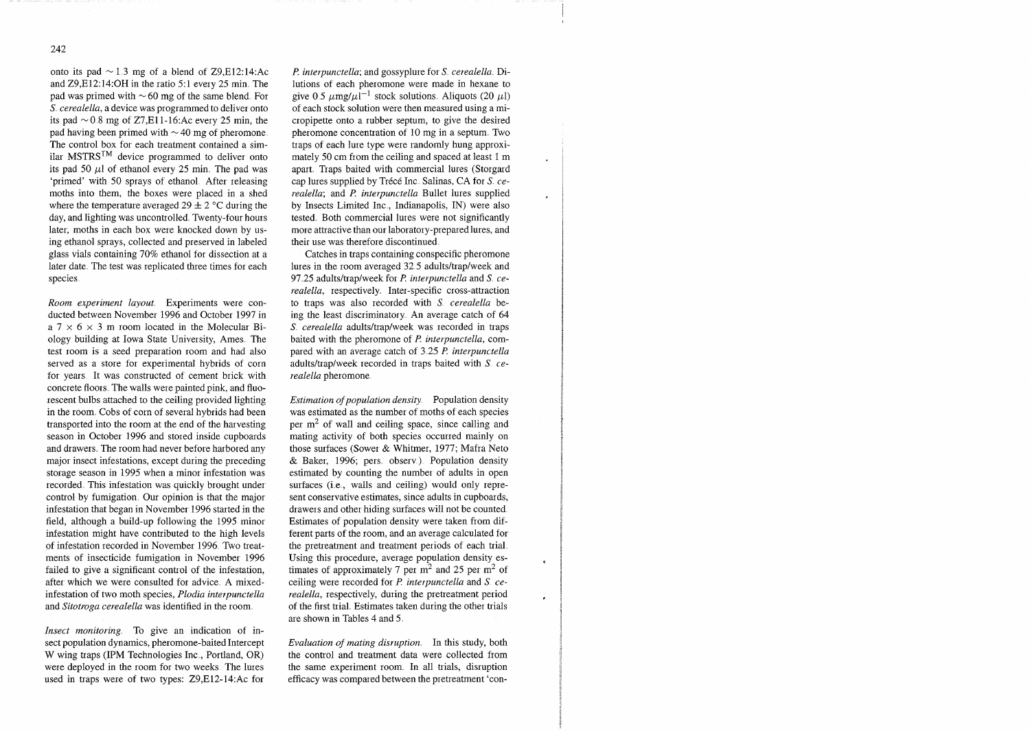onto its pad  $\sim$  1.3 mg of a blend of Z9,E12:14:Ac and Z9,E12:14:OH in the ratio 5:1 every 25 min. The pad was primed with  $\sim 60$  mg of the same blend. For *S. cerealella, a device was programmed to deliver onto* its pad  $\sim$  0.8 mg of Z7,E11-16:Ac every 25 min, the pad having been primed with  $\sim$  40 mg of pheromone. The control box for each treatment contained a similar MSTRS<sup>TM</sup> device programmed to deliver onto its pad 50  $\mu$ l of ethanol every 25 min. The pad was 'primed' with 50 sprays of ethanol After releasing moths into them, the boxes were placed in a shed where the temperature averaged 29  $\pm$  2 °C during the day, and lighting was uncontrolled. Twenty-four hours later, moths in each box were knocked down by using ethanol sprays, collected and preserved in labeled glass vials containing 70% ethanol for dissection at a later date. The test was replicated three times for each species

*Room experiment layout.* Experiments were conducted between November 1996 and October 1997 in a  $7 \times 6 \times 3$  m room located in the Molecular Biology building at Iowa State University, Ames The test room is a seed preparation room and had also served as a store for experimental hybrids of corn for years. It was constructed of cement brick with concrete floors. The walls were painted pink, and fluorescent bulbs attached to the ceiling provided lighting in the room. Cobs of corn of several hybrids had been transported into the room at the end of the harvesting season in October 1996 and stored inside cupboards and drawers. The room had never before harbored any major insect infestations, except during the preceding storage season in 1995 when a minor infestation was recorded This infestation was quickly brought under control by fumigation Our opinion is that the major infestation that began in November 1996 started in the field, although a build-up following the 1995 minor infestation might have contributed to the high levels of infestation recorded in November 1996 Two treatments of insecticide fumigation in November 1996 failed to give a significant control of the infestation, after which we were consulted for advice. A mixedinfestation of two moth species, *Plodia interpunctella* and *Sitotroga cerealella* was identified in the room.

*Insect monitoring*. To give an indication of insect population dynamics, pheromone-baited Intercept W wing traps (IPM Technologies Inc., Portland, OR) were deployed in the room for two weeks The lures used in traps were of two types: Z9,El2-14:Ac for

*l? interpunctella;* and gossyplure for *S cerealella* Dilutions of each pheromone were made in hexane to give 0.5  $\mu$ mg/ $\mu$ l<sup>-1</sup> stock solutions. Aliquots (20  $\mu$ l) of each stock solution were then measured using a micropipette onto a rubber septum, to give the desired pheromone concentration of 10 mg in a septum. Two traps of each lure type were randomly hung approximately 50 cm from the ceiling and spaced at least 1 m apart. Traps baited with commercial lures (Storgard cap lures supplied by Trécé Inc. Salinas, CA for *S. cerealella*; and *P. interpunctella* Bullet lures supplied by Insects Limited Inc., Indianapolis, IN) were also tested. Both commercial lures were not significantly more attractive than our laboratory-prepared lures, and their use was therefore discontinued

Catches in traps containing conspecific pheromone lures in the room averaged 32 5 adultsltrap/week and 97.25 adults/trap/week for *P. interpunctella* and *S. cerealella, respectively. Inter-specific cross-attraction* to traps was also recorded with *S* cerealella being the least discriminatory. An average catch of 64 *S. cerealella adults/trap/week was recorded in traps* baited with the pheromone of *P. interpunctella*, compared with an average catch of 3 25 *I? interpunctellu*  adults/traplweek recorded in traps baited with *S cerealella* pheromone

*Estimation of population density.* Population density was estimated as the number of moths of each species per  $m<sup>2</sup>$  of wall and ceiling space, since calling and mating activity of both species occurred mainly on those surfaces (Sower & Whitmer, 1977; Mafra Net0 & Baker, 1996; pers. observ.). Population density estimated by counting the number of adults in open surfaces (i.e., walls and ceiling) would only represent conservative estimates, since adults in cupboards, drawers and other hiding surfaces will not be counted Estimates of population density were taken from different parts of the room, and an average calculated for the pretreatment and treatment periods of each trial Using this procedure, average population density estimates of approximately 7 per  $m<sup>2</sup>$  and 25 per  $m<sup>2</sup>$  of ceiling were recorded for *P. interpunctella* and *S. cerealellu,* respectively, during the pretreatment period of the first trial Estimates taken during the other trials are shown in Tables 4 and 5

*Evaluation of mating disruption.* In this study, both the control and treatment data were collected from the same experiment room In all trials, disruption efficacy was compared between the pretreatment 'con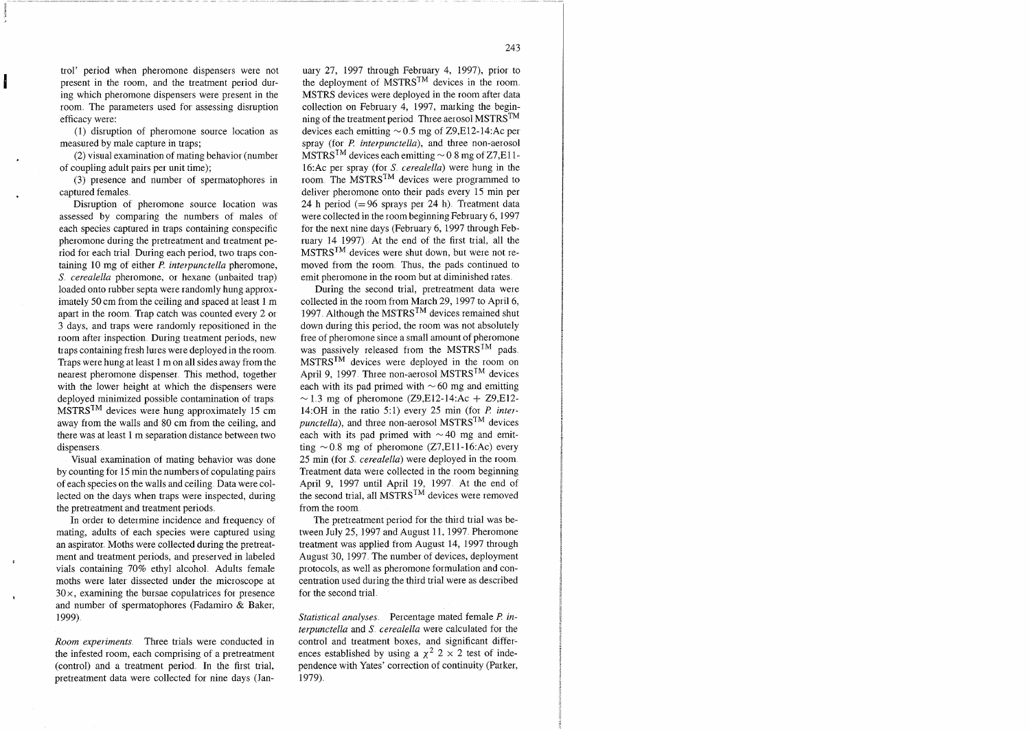trol' period when pheromone dispensers were not present in the room, and the treatment period during which pheromone dispensers were present in the room The parameters used for assessing disruption efficacy were:

(1) disruption of pheromone source location as measured by male capture in traps;

(2) visual examination of mating behavior (number of coupling adult pairs per unit time);

(3) presence and number of spermatophores in captured females

Disruption of pheromone source location was assessed by comparing the numbers of males of each species captured in traps containing conspecific pheromone during the pretreatment and treatment period for each trial During each period, two traps containing 10 mg of either  $P$ , interpunctella pheromone, S. cerealella pheromone, or hexane (unbaited trap) loaded onto rubber septa were randomly hung approximately 50 cm from the ceiling and spaced at least 1 m apart in the room Trap catch was counted every 2 or 3 days, and traps were randomly repositioned in the room after inspection. During treatment periods, new traps containing fresh lures were deployed in the room Traps were hung at least 1 m on all sides away from the nearest pheromone dispenser This method, together with the lower height at which the dispensers were deployed minimized possible contamination of traps  $MSTRS<sup>TM</sup>$  devices were hung approximately 15 cm away from the walls and 80 cm from the ceiling, and there was at least 1 m separation distance between two dispensers

Visual examination of mating behavior was done by counting for 15 min the numbers of copulating pairs of each species on the walls and ceiling Data were collected on the days when traps were inspected, during the pretreatment and treatment periods

In order to determine incidence and frequency of mating, adults of each species were captured using an aspirator. Moths were collected during the pretreatment and treatment periods, and preserved in labeled **<sup>c</sup>** vials containing 70% ethyl alcohol Adults female moths were later dissected under the microscope at  $30\times$ , examining the bursae copulatrices for presence and number of spermatophores (Fadamiro & Baker, 1999)

Room experiments. Three trials were conducted in the infested room, each comprising of a pretreatment (control) and a treatment period In the first trial, pretreatment data were collected for nine days (Jan-

uary 27, 1997 through February 4, 1997), prior to the deployment of  $MSTRS^{TM}$  devices in the room. MSTRS devices were deployed in the room after data collection on February 4, 1997, marking the beginning of the treatment period. Three aerosol MSTRS<sup>TM</sup> devices each emitting  $\sim$  0.5 mg of Z9, E12-14: Ac per spray (for P. *interpunctella*), and three non-aerosol  $MSTRS^{TM}$  devices each emitting  $\sim 0.8$  mg of Z7, E11-16:Ac per spray (for  $S$  *cerealella*) were hung in the room The MSTRSTM devices were programmed to deliver pheromone onto their pads every 15 min per 24 h period  $(= 96$  sprays per 24 h). Treatment data were collected in the room beginning February 6, 1997 for the next nine days (February 6, 1997 through February 14 1997) At the end of the first trial, all the  $MSTRS^{TM}$  devices were shut down, but were not removed from the room Thus, the pads continued to emit pheromone in the room but at diminished rates

During the second trial, pretreatment data were collected in the room from March 29, 1997 to April 6, 1997. Although the MSTRS<sup>TM</sup> devices remained shut down during this period, the room was not absolutely free of pheromone since a small amount of pheromone was passively released from the MSTRS<sup>TM</sup> pads. MSTRS<sup>TM</sup> devices were deployed in the room on April 9, 1997. Three non-aerosol MSTRS<sup>TM</sup> devices each with its pad primed with  $\sim 60$  mg and emitting  $\sim$  1.3 mg of pheromone (Z9,E12-14:Ac + Z9,E12-14:OH in the ratio 5:1) every 25 min (for  $P$  inter*punctella*), and three non-aerosol MSTRS<sup>TM</sup> devices each with its pad primed with  $\sim$  40 mg and emitting  $\sim 0.8$  mg of pheromone (Z7,E11-16:Ac) every 25 min (for S. cerealella) were deployed in the room. Treatment data were collected in the room beginning April 9, 1997 until April 19, 1997 At the end of the second trial, all MSTRS<sup>TM</sup> devices were removed from the room

The pretreatment period for the third trial was between July 25, 1997 and August 11, 1997. Pheromone treatment was applied from August 14, 1997 through August 30, 1997 The number of devices, deployment protocols, as well as pheromone formulation and concentration used during the third trial were as described for the second trial

Statistical analyses. Percentage mated female *P. in*terpunctella and S. cerealella were calculated for the control and treatment boxes, and significant differences established by using a  $\chi^2$  2 × 2 test of independence with Yates' correction of continuity (Parker, 1979)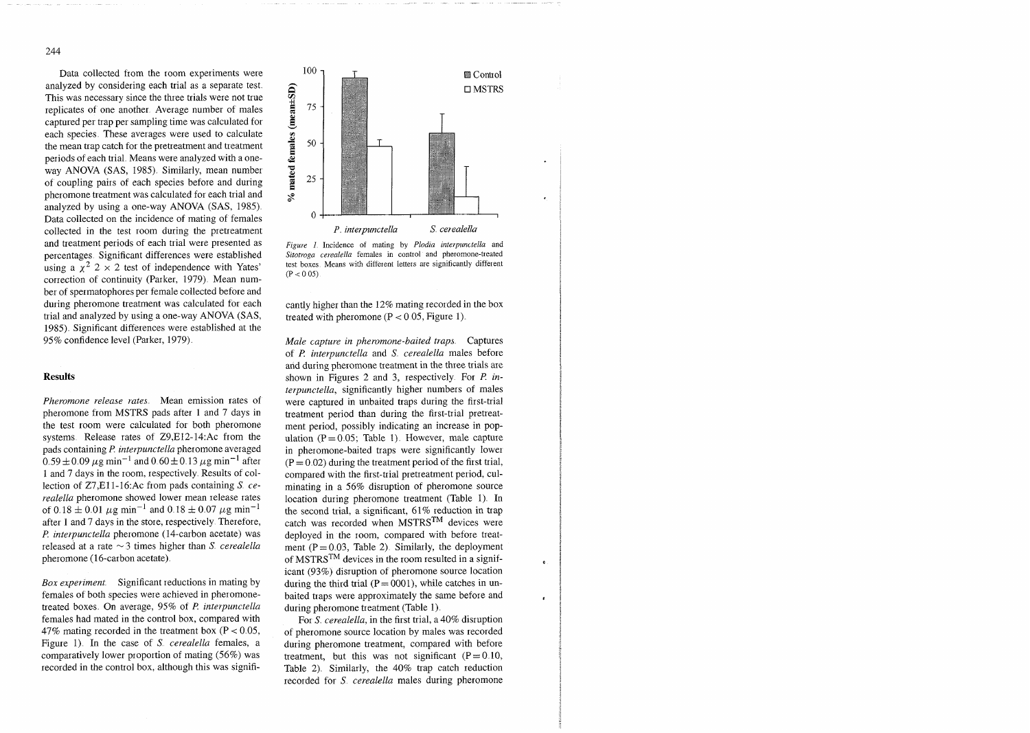Data collected from the room experiments were analyzed by considering each trial as a separate test This was necessary since the three trials were not true replicates of one another Average number of males captured per trap per sampling time was calculated for each species These averages were used to calculate the mean trap catch for the pretreatment and treatment periods of each trial Means were analyzed with a oneway ANOVA (SAS, 1985) Similarly, mean number of coupling pairs of each species before and during pheromone treatment was calculated for each trial and analyzed by using a one-way ANOVA (SAS, 1985) Data collected on the incidence of mating of females collected in the test room during the pretreatment and treatment periods of each trial were presented as percentages Significant differences were established using a  $\chi^2$  2 × 2 test of independence with Yates' correction of continuity (Parker, 1979) Mean number of spermatophores per female collected before and during pheromone treatment was calculated for each trial and analyzed by using a one-way ANOVA (SAS, 1985) Significant differences were established at the 95% confidence level (Parker, 1979).

## **Results**

*Pheromone release rates.* Mean emission rates of pheromone from MSTRS pads after 1 and 7 days in the test room were calculated for both pheromone systems Release rates of Z9,E12-14:Ac from the pads containing P *interpunctella* pheromone averaged  $0.59 \pm 0.09 \,\mu$ g min<sup>-1</sup> and  $0.60 \pm 0.13 \,\mu$ g min<sup>-1</sup> after 1 and 7 days in the room, respectively Results of collection of Z7,Ell-16:Ac from pads containing S *cerealella* pheromone showed lower mean release rates of 0.18  $\pm$  0.01  $\mu$ g min<sup>-1</sup> and 0.18  $\pm$  0.07  $\mu$ g min<sup>-1</sup> after 1 and 7 days in the store, respectively Therefore, l? *interpunctella* pheromone (14-carbon acetate) was released at a rate  $\sim$  3 times higher than *S cerealella*  $pheromone (16-carbon acetate)$ .

*Box experiment.* Significant reductions in mating by females of both species were achieved in pheromonetreated boxes On average, 95% of *P. interpunctella*  females had mated in the control box, compared with 47% mating recorded in the treatment box ( $P < 0.05$ , Figure 1). In the case of S. *cerealella* females, a comparatively lower proportion of mating (56%) was recorded in the control box, although this was signifi-



*Ftgure 1* Incidence of mating by *Plodiu interpunctella* and Sitotroga cerealella females in control and pheromone-treated lest boxes. Means with different letters are significantly different  $(P < 0.05)$ . test boxes Means with diffeient letters are significantly different

cantly higher than the 12% mating recorded in the box treated with pheromone  $(P < 0.05$ , Figure 1).

*Male capture in pheromone-baited traps* Captures of *P. interpunctella* and *S cerealella* males before and during pheromone treatment in the three trials are shown in Figures 2 and 3, respectively For *P. interpunctella,* significantly higher numbers of males were captured in unbaited traps during the first-trial treatment period than during the first-trial pretreatment period, possibly indicating an increase in population  $(P = 0.05$ ; Table 1). However, male capture in pheromone-baited traps were significantly lower  $(P = 0.02)$  during the treatment period of the first trial, compared with the first-trial pretreatment period, culminating in a 56% disruption of pheromone source location during pheromone treatment (Table 1). In the second trial, a significant, 61% reduction in trap catch was recorded when  $MSTRS^{TM}$  devices were deployed in the room, compared with before treatment  $(P = 0.03$ , Table 2). Similarly, the deployment of MSTRS<sup>TM</sup> devices in the room resulted in a significant (93%) disruption of pheromone source location during the third trial  $(P = 0001)$ , while catches in unbaited traps were approximately the same before and during pheromone treatment (Table 1)

 $\bullet$ 

For *S. cerealella*, in the first trial, a 40% disruption of pheromone source location by males was recorded during pheromone treatment, compared with before treatment, but this was not significant  $(P = 0.10,$ Table 2). Similarly, the 40% trap catch reduction recorded for *S cerealella* males during pheromone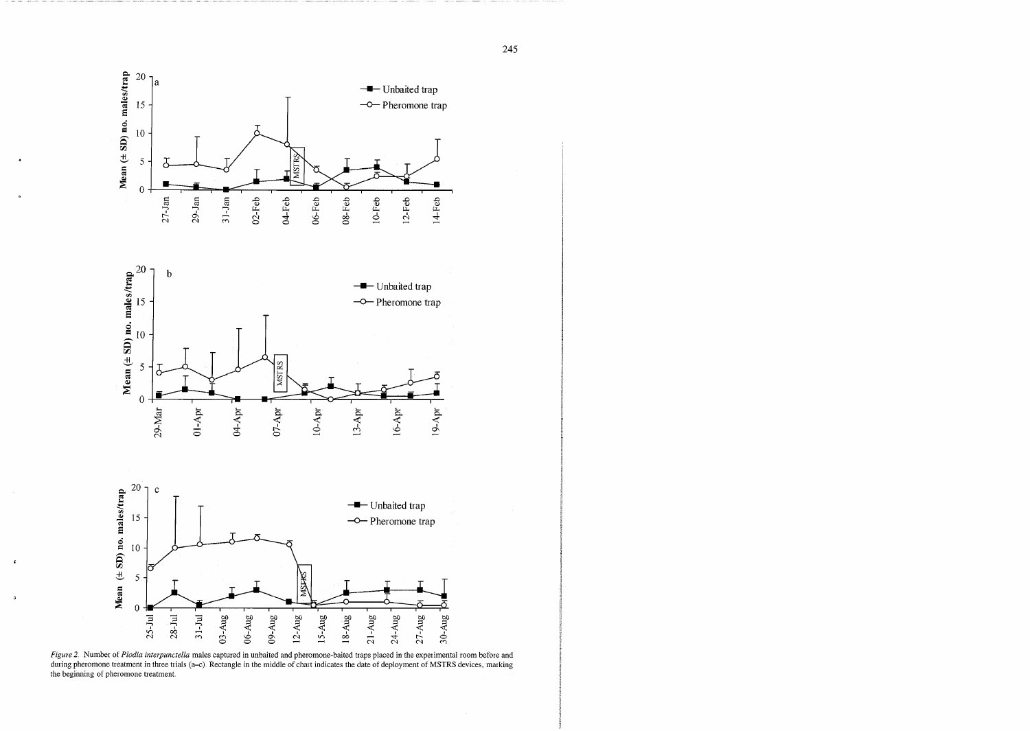

*Figure 2.* Number of *Plodia interpunctella* males captured in unbaited and pheromone-baited traps placed in the experimental room before and during pheromone treatment in three trials (a-c). Rectangle in the middle of chart indicates the date of deployment of MSTRS devices, marking the beginning of pheromone treatment

 $\bullet$ 

 $\mathfrak{g}$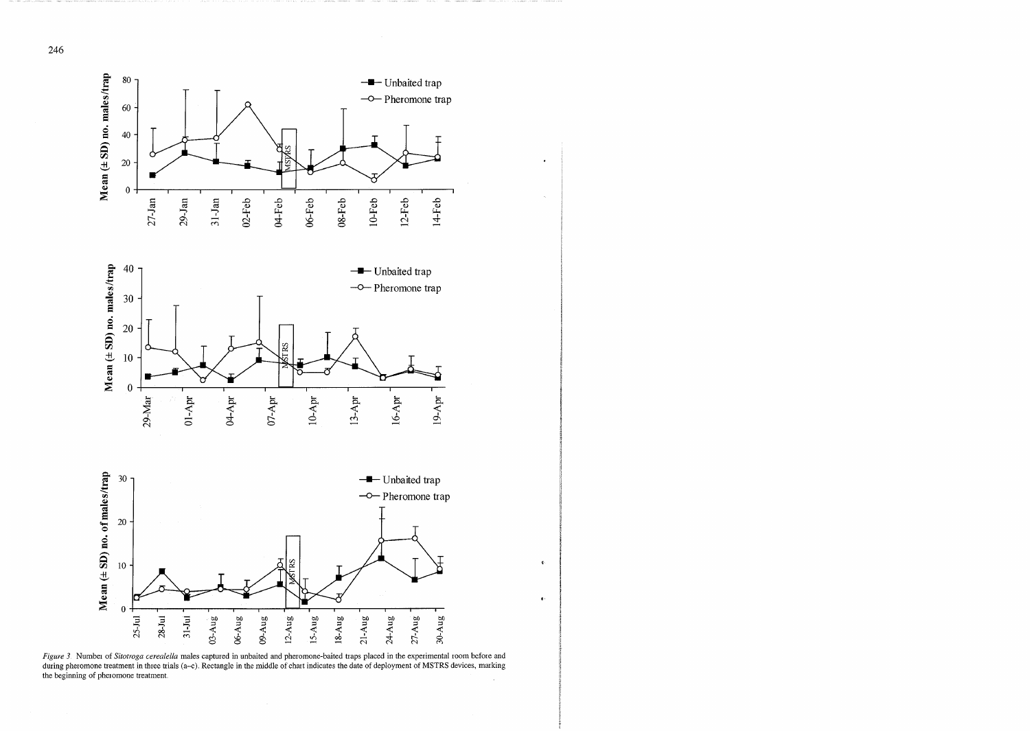

 $\bullet$ 

 $\mathcal{A}^{\mathcal{A}}$ 

 $\psi$  .

 $\blacklozenge$ 

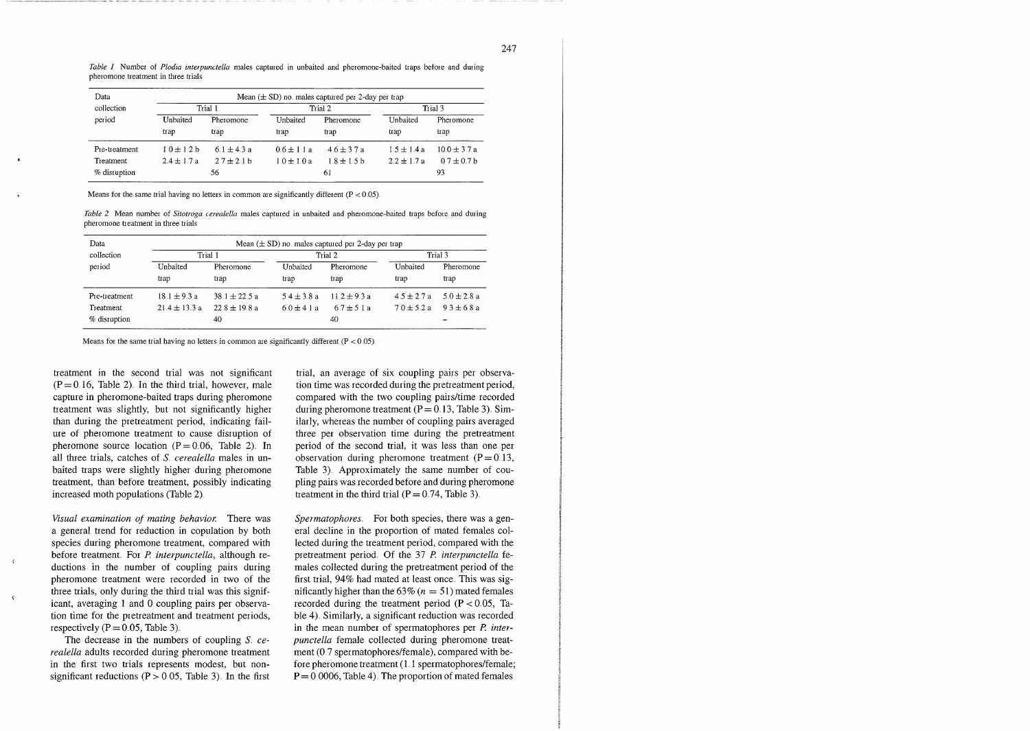*Table 1* Number of *Plodia interpunctella* males captured in unbaited and pheromone-baited traps before and during pheromone treatment in three trials

| Data          | Mean $(\pm SD)$ no males captured per 2-day per trap |                 |                 |                 |                 |                  |  |
|---------------|------------------------------------------------------|-----------------|-----------------|-----------------|-----------------|------------------|--|
| collection    | Trial 1                                              |                 | Trial 2         |                 | Trial 3         |                  |  |
| period        | Unbaited                                             | Pheromone       | Unbaited        | Pheromone       | Unbaited        | Pheromone        |  |
|               | trap                                                 | trap            | trap            | trap            | trap            | trap             |  |
| Pre-treatment | $1.0 \pm 1.2 b$                                      | $6.1 \pm 4.3 a$ | $0.6 \pm 1.1 a$ | $4.6 \pm 3.7 a$ | $1.5 \pm 1.4 a$ | $10.0 \pm 3.7 a$ |  |
| Treatment     | $2.4 \pm 1.7 a$                                      | $27 + 21h$      | $1.0 \pm 1.0 a$ | $1.8 \pm 1.5$ b | $22 + 17a$      | $0.7 + 0.7$ b    |  |
| % disruption  |                                                      | 56              |                 | 61              |                 | 93               |  |

Means for the same trial having no letters in common are significantly different  $(P < 0.05)$ .

*Table 2* Mean number of *Sitotroga cerealella* males captured in unbaited and pheromone-baited traps before and during pheromone treatment in three trials

| Data          | Mean $(\pm SD)$ no males captured per 2-day per trap |                   |                 |                 |                 |                 |  |
|---------------|------------------------------------------------------|-------------------|-----------------|-----------------|-----------------|-----------------|--|
| collection    | Trial 1                                              |                   | Trial 2         |                 | Trial 3         |                 |  |
| period        | Unbaited                                             | Pheromone         | Unbaited        | Pheromone       | Unbaited        | Pheromone       |  |
|               | trap                                                 | trap              | trap            | trap            | trap            | trap            |  |
| Pre-treatment | $18.1 \pm 9.3$ a                                     | $38.1 + 22.5a$    | $5.4 \pm 3.8 a$ | $11.2 + 9.3a$   | $4.5 \pm 2.7 a$ | $5.0 \pm 2.8 a$ |  |
| Treatment     | $21.4 \pm 13.3 a$                                    | $22.8 \pm 19.8$ a | $6.0 \pm 4.1 a$ | $6.7 \pm 5.1 a$ | $7.0 \pm 5.2 a$ | $9.3 \pm 6.8 a$ |  |
| % disruption  |                                                      | 40                |                 | 40              |                 |                 |  |

Means for the same trial having no letters in common are significantly different  $(P < 0.05)$ .

treatment in the second trial was not significant  $(P = 0.16$ , Table 2). In the third trial, however, male capture in pheromone-baited traps during pheromone treatment was slightly, but not significantly higher than during the pretreatment period, indicating failure of pheromone treatment to cause disruption of pheromone source location  $(P = 0.06,$  Table 2). In all three trials, catches of *S cerealella* males in unbaited traps were slightly higher during pheromone treatment, than before treatment, possibly indicating increased moth populations (Table 2)

*Visual examination of mating behavior.* There was a general trend for reduction in copulation by both species during pheromone treatment, compared with before treatment. For P. *interpunctella*, although reductions in the number of coupling pairs during pheromone treatment were recorded in two of the three trials, only during the third trial was this signif-<br>icant, averaging 1 and 0 coupling pairs per observation time for the pretreatment and treatment periods, respectively ( $P = 0.05$ , Table 3).

 $\langle$ 

The decrease in the numbers of coupling *S*. ce*realella* adults recorded during pheromone treatment in the first two trials represents modest, but nonsignificant reductions ( $P > 0.05$ , Table 3). In the first

trial, an average of six coupling pairs per observation time was recorded during the pretreatment period, compared with the two coupling pairs/time recorded during pheromone treatment  $(P = 0.13,$  Table 3). Similarly, whereas the number of coupling pairs averaged three per observation time during the pretreatment period of the second trial, it was less than one per observation during pheromone treatment  $(P = 0.13,$ Table 3) Approximately the same number of coupling pairs was recorded before and during pheromone treatment in the third trial  $(P = 0.74$ , Table 3).

*Spermatophores* For both species, there was a general decline in the proportion of mated females collected during the treatment period, compared with the pretreatment period. Of the 37 P. *interpunctella* females collected during the pretreatment period of the first trial, 94% had mated at least once This was significantly higher than the  $63\%$  ( $n = 51$ ) mated females recorded during the treatment period ( $P < 0.05$ , Table 4). Similarly, a significant reduction was recorded in the mean number of spermatophores per *P. interpunctella* female collected during pheromone treatment (0.7 spermatophores/female), compared with before pheromone treatment (1.1 spermatophores/female;  $P = 0.0006$ , Table 4). The proportion of mated females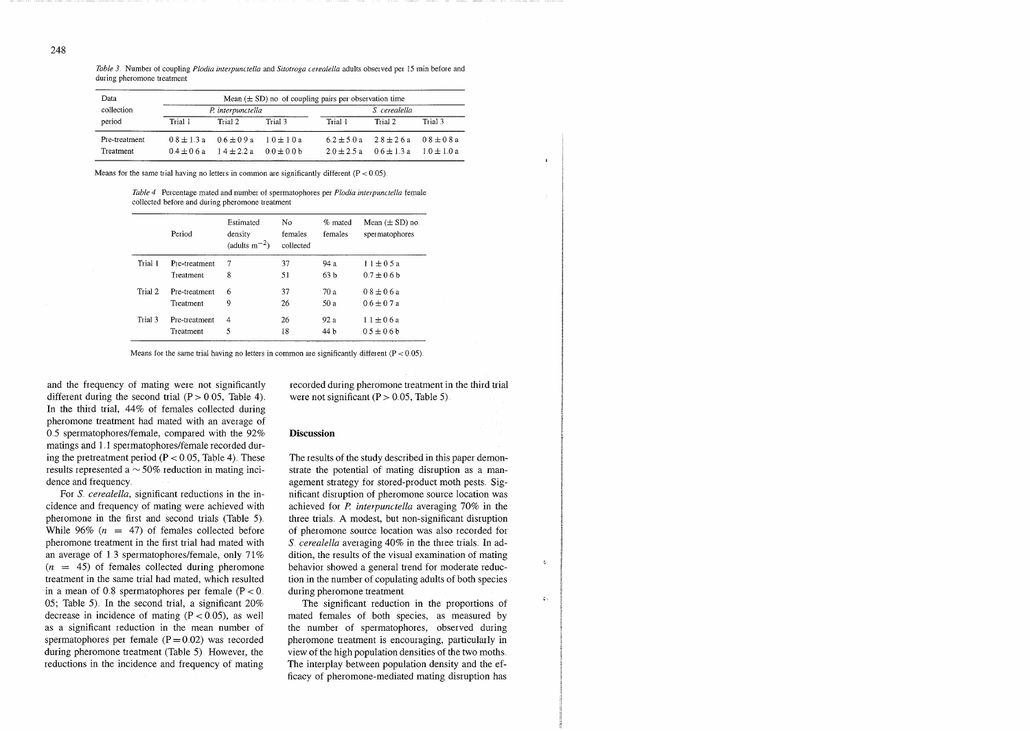*Table 3.* Number of coupling *Plodia interpunctella and Sitotroga cerealella adults observed per 15 min before and* during pheromone treatment

| Data             | Mean $(\pm SD)$ no of coupling pairs per observation time |                                        |            |               |                                                 |              |  |
|------------------|-----------------------------------------------------------|----------------------------------------|------------|---------------|-------------------------------------------------|--------------|--|
| collection       | P. interpunctella                                         |                                        |            | S. cerealella |                                                 |              |  |
| period           | Trial 1                                                   | Trial 2                                | Trial 3    | Trial 1       | Trial 2                                         | Trial 3      |  |
| Pre-treatment    |                                                           | $0.8 \pm 1.3$ a $0.6 \pm 0.9$ a        | $10 + 10a$ |               | $6.2 \pm 5.0$ a $2.8 \pm 2.6$ a $0.8 \pm 0.8$ a |              |  |
| <b>Treatment</b> |                                                           | $0.4 + 0.6a$ $1.4 + 2.2a$ $0.0 + 0.0b$ |            |               | $20 + 25a$ $06 + 13a$                           | $1.0 + 1.0a$ |  |

Means for the same trial having no letters in common are significantly different  $(P < 0.05)$ .

*Table 4* Percentage mated and number of spermatophores per *Plodia interpunctella* female collected before and during pheromone treatment

|         | Period        | Estimated<br>density<br>(adults $m^{-2}$ ) | No<br>females<br>collected | % mated<br>females | Mean $(\pm SD)$ no.<br>spermatophores |
|---------|---------------|--------------------------------------------|----------------------------|--------------------|---------------------------------------|
| Trial 1 | Pre-treatment | 7                                          | 37                         | 94 a               | $11 \pm 0.5 a$                        |
|         | Treatment     | 8                                          | 51                         | 63 h               | $0.7 \pm 0.6 h$                       |
| Trial 2 | Pre-treatment | 6                                          | 37                         | 70 а               | $0.8 + 0.6a$                          |
|         | Treatment     | 9                                          | 26                         | 50 a               | $0.6 \pm 0.7 a$                       |
| Trial 3 | Pre-treatment | 4                                          | 26                         | 92 a               | $1.1 + 0.6a$                          |
|         | Treatment     | 5                                          | 18                         | 44 b               | $0.5 \pm 0.6 b$                       |

Means for the same trial having no letters in common are significantly different  $(P < 0.05)$ .

and the frequency of mating were not significantly different during the second trial  $(P > 0.05,$  Table 4). In the third trial, 44% of females collected during pheromone treatment had mated with an average of 0.5 spermatophores/female, compared with the 92% matings and 1.1 spermatophores/female recorded during the pretreatment period  $(P < 0.05$ , Table 4). These results represented a  $\sim$  50% reduction in mating incidence and frequency

For S. cerealella, significant reductions in the incidence and frequency of mating were achieved with pheromone in the first and second trials (Table 5) While 96% ( $n = 47$ ) of females collected before pheromone treatment in the first trial had mated with an average of 1 3 spermatophores/female, only 71%  $(n = 45)$  of females collected during pheromone treatment in the same trial had mated, which resulted in a mean of 0.8 spermatophores per female  $(P < 0$ . 05; Table 5). In the second trial, a significant  $20\%$ decrease in incidence of mating  $(P < 0.05)$ , as well as a significant reduction in the mean number of spermatophores per female  $(P = 0.02)$  was recorded during pheromone treatment (Table 5). However, the reductions in the incidence and frequency of mating

recorded during pheromone treatment in the third trial were not significant  $(P > 0.05,$  Table 5).

## **Discussion**

The results of the study described in this paper demonstrate the potential of mating disruption as a management strategy for stored-product moth pests. Significant disruption of pheromone source location was achieved for *P. interpunctella* averaging 70% in the three trials A modest, but non-significant disruption of pheromone source location was also recorded for S cerealella averaging 40% in the three trials. In addition, the results of the visual examination of mating behavior showed a general trend for moderate reduction in the number of copulating adults of both species during pheromone treatment

 $\mathbf c$ 

 $\zeta$  :

The significant reduction in the proportions of mated females of both species, as measured by the number of spermatophores, observed during pheromone treatment is encouraging, particularly in view of the high population densities of the two moths The interplay between population density and the efficacy of pheromone-mediated mating disruption has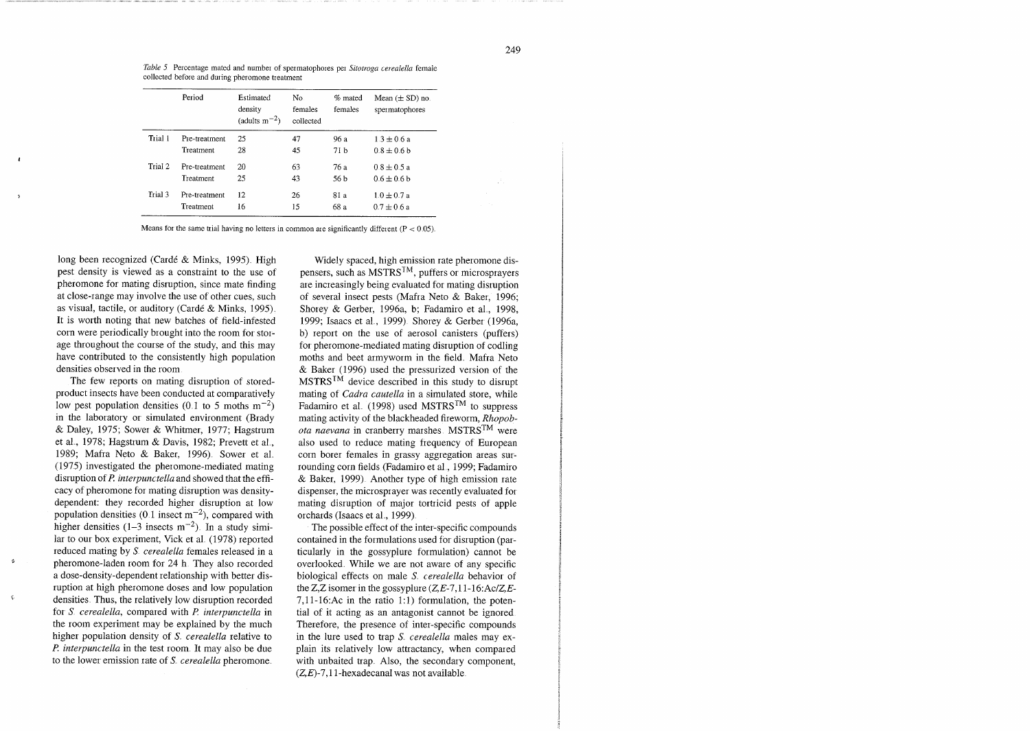*Table 5* Percentage mated and number of spermatophoies pei *Sitotroga cerealella* female collected before and during pheromone treatment

|         | Period           | Estimated<br>density<br>(adults $m^{-2}$ ) | No.<br>females<br>collected | % mated<br>females | Mean $(\pm SD)$ no.<br>spermatophores |
|---------|------------------|--------------------------------------------|-----------------------------|--------------------|---------------------------------------|
| Trial 1 | Pre-treatment    | 25                                         | 47                          | 96 a               | $1.3 + 0.6a$                          |
|         | <b>Treatment</b> | 28                                         | 45                          | 71 b               | $0.8 + 0.6 h$                         |
| Trial 2 | Pre-treatment    | 20                                         | 63                          | 76 a               | $0.8 \pm 0.5 a$                       |
|         | Treatment        | 25                                         | 43                          | 56 b               | $0.6 + 0.6h$                          |
| Trial 3 | Pre-treatment    | $12 \overline{ }$                          | 26                          | 81 a               | $1.0 \pm 0.7 a$                       |
|         | Treatment        | 16                                         | 15                          | 68 a               | $0.7 \pm 0.6 a$                       |

Means for the same trial having no letters in common are significantly different  $(P < 0.05)$ .

long been recognized (Cardé & Minks, 1995). High pest density is viewed as a constraint to the use of pheromone for mating disruption, since mate finding at close-range may involve the use of other cues, such as visual, tactile, or auditory (Cardé & Minks, 1995). It is worth noting that new batches of field-infested corn were periodically brought into the room for storage throughout the course of the study, and this may have contributed to the consistently high population densities observed in the room

The few reports on mating disruption of storedproduct insects have been conducted at comparatively low pest population densities (0.1 to 5 moths  $m^{-2}$ ) in the laboratory or simulated environment (Brady & Daley, 1975; Sower & Whitmer, 1977; Hagstrum et al., 1978; Hagstrum & Davis, 1982; Prevett et al., 1989; Mafra Neto & Baker, 1996). Sower et al. (1975) investigated the pheromone-mediated mating disruption of *P. mterpunctella* and showed that the efficacy of pheromone for mating disruption was densitydependent: they recorded higher disruption at low population densities (0.1 insect  $m^{-2}$ ), compared with higher densities  $(1-3$  insects m<sup>-2</sup>). In a study similar to our box experiment, Vick et al.  $(1978)$  reported reduced mating by *S. cerealella* females released in a <sup>*t</sup>* pheromone-laden room for 24 h They also recorded</sup> a dose-density-dependent relationship with better disruption at high pheromone doses and low population  $\epsilon$  densities. Thus, the relatively low disruption recorded for S *cerealella,* compared with *P interpunctella* in the room experiment may be explained by the much higher population density of S<sub>r</sub> cerealella relative to *I? interpunctella* in the test room It may also be due to the lower emission rate of S<sub>*cerealella* pheromone.</sub>

Widely spaced, high emission rate pheromone dispensers, such as  $MSTRS^{TM}$ , puffers or microsprayers are increasingly being evaluated for mating disruption of several insect pests (Mafra Neto & Baker, 1996; Shorey & Gerber, 1996a, b; Fadamiro et al., 1998, 1999; Isaacs et al., 1999). Shorey & Gerber (1996a, b) report on the use of aerosol canisters (puffers) for pheromone-mediated mating disruption of codling moths and beet armyworm in the field. Mafra Neto & Baker (1996) used the pressurized version of the  $MSTRS^{TM}$  device described in this study to disrupt mating of *Cadra cautella* in a simulated store, while Fadamiro et al. (1998) used MSTRS<sup>TM</sup> to suppress mating activity of the blackheaded fireworm, *Rhopobota naevana* in cranberry marshes MSTRS<sup>TM</sup> were also used to reduce mating frequency of European corn borer females in grassy aggregation areas surrounding corn fields (Fadamiro et a1 , 1999; Fadamiro & Baker, 1999) Another type of high emission rate dispenser, the microsprayer was recently evaluated for mating disruption of major tortricid pests of apple orchards (Isaacs et al., 1999).

The possible effect of the inter-specific compounds contained in the formulations used for disruption (particularly in the gossyplure formulation) cannot be overlooked. While we are not aware of any specific biological effects on male S *cerealella* behavior of the Z,Z isomer in the gossyplure  $(Z,E-7,11-16:\text{Ac}/Z,E-$ 7,11-16:Ac in the ratio 1:1) formulation, the potential of it acting as an antagonist cannot be ignored Therefore, the presence of inter-specific compounds in the lure used to trap *S*. *cerealella* males may explain its relatively low attractancy, when compared with unbaited trap. Also, the secondary component,  $(Z,E)$ -7,11-hexadecanal was not available.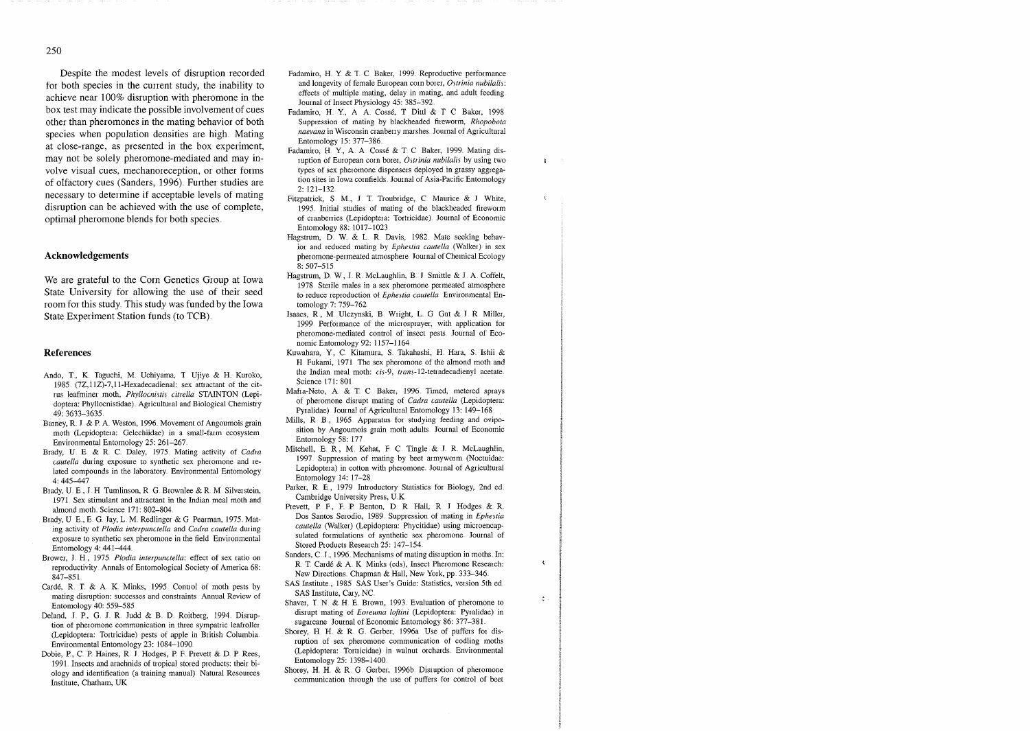Despite the modest levels of disruption recorded for both species in the current study, the inability to achieve near 100% disruption with pheromone in the box test may indicate the possible involvement of cues other than pheromones in the mating behavior of both species when population densities are high Mating at close-range, as presented in the box experiment, may not be solely pheromone-mediated and may involve visual cues, mechanoreception, or other forms of olfactory cues (Sanders, 1996) Further studies are necessary to determine if acceptable levels of mating disruption can be achieved with the use of complete, optimal pheromone blends for both species

### **Acknowledgements**

We are grateful to the Corn Genetics Group at Iowa State University for allowing the use of their seed room for this study This study was funded by the Iowa State Experiment Station funds (to TCB)

#### **References**

- Ando, T., K. Taguchi, M. Uchiyama, T. Ujiye & H. Kuroko, 1985.  $(7Z, 11Z)$ -7,11-Hexadecadienal: sex attractant of the citrus leafminei moth, *Phyllocnistis citrella* STAINTON (Lepidoptera: Phyllocnistidae). Agricultural and Biological Chemistry 49: 3633-3635
- Barney, R. J. & P. A. Weston, 1996. Movement of Angoumois grain moth (Lepidoptera: Gelechiidae) in a small-farm ecosystem Environmental Entomology 25' 261-267
- Brady, U E & R C Daley, 1975 Mating activity of *Cadra cautella* during exposure to synthetic sex pheromone and related compounds in the laboratory. Environmental Entomology 4: 445-447
- Brady, U. E., J. H. Tumlinson, R. G. Brownlee & R. M. Silverstein, 1971 Sex stimulant and attractant in the Indian meal moth and almond moth. Science 171: 802-804.
- Brady, U. E., E. G. Jay, L. M. Redlinger & G. Pearman, 1975. Mating activity of *Plodia interpunctella* and *Cadra cautella* during exposure to synthetic sex pheromone in the field Environmental Entomology  $4:441-444$ .
- Brower, J. H., 1975. Plodia interpunctella: effect of sex ratio on reproductivity Annals of Entomological Society of America 68 847-85 1
- Card6, R **T** & A K Minks, 1995 Control of moth pests by mating disruption: successes and constraints Annual Review of Entomology 40: 559-585
- Deland, J. P., G. J. R. Judd & B. D. Roitberg, 1994. Disruption of pheromone communication in three sympatric leafroller (Lepidoptera: Tortricidae) pests of apple in British Columbia. Environmental Entomology 23: 1084-1090
- Dobie, P, C. P. Haines, R. J. Hodges, P. F. Prevett & D. P. Rees, 1991 Insects and arachnids of tropical stored products: their biology and identification (a training manual) Natural Resources Institute, Chatham, UK
- Fadamiro, H. Y. & T. C. Baker, 1999. Reproductive performance and longevity of female European corn borer, Ostrinia nubilalis: effects of multiple mating, delay in mating, and adult feeding Journal of Insect Physiology 45: 385-392.
- Fadamiro, H. Y., A. A. Cossé, T Dittl & T. C. Baker, 1998 Suppiession of mating by blackheaded fireworm, *Rhopobota naevana* in Wisconsin cranberry marshes Journal of Agricultural Entomology 15: 377-386.
- Fadamiro, H. Y., A. A. Cossé & T. C. Baker, 1999. Mating disruption of European corn boret, Ostrinia nubilalis by using two types of sex pheromone dispensers deployed in grassy aggregation sites in Iowa cornfields Journal of Asia-Pacific Entomology  $2: 121 - 132$
- Fitzpatrick, S. M., J. T. Troubridge, C. Maurice & J. White, 1995 Initial studies of mating of the blackheaded fireworm of cranberries (Lepidoptera: Tortricidae). Journal of Economic Entomology 88: 1017-1023
- Hagstrum, D W & L R Davis, 1982 Mate seeking behavior and reduced mating by *Ephestia cautella* (Walker) in sex pheromone-permeated atmosphere Jouinal of Chemical Ecology  $8:507 - 515$
- Hagstrum, D W, I R McLaughlin, B J Smittle & J A Coffelt, 1978 Sterile males in a sex pheromone permeated atmosphere to reduce reproduction of *Ephestia cautella* Environmental Entomology 7: 759-762.
- Isaacs, R , M Ulczynski, B Wright, L G Gut & J R Miller, 1999 Performance of the microsprayer, with application for pheromone-mediated control of insect pests Journal of Economic Entomology 92: 1157-1164.
- Kuwahara, Y, C. Kitamura, S. Takahashi, H. Hara, S. Ishii & H Fukami, 1971 The sex pheromone of the almond moth and the Indian meal moth: cis-9, trans-12-tetradecadienyl acetate. Science 171: 801
- Mafra-Neto, A & T C Bakei, 1996 Timed, metered sprays of pheromone disrupt mating of *Cadra cautella* (Lepidoptera Pyralidae) Journal of Agricultural Entomology 13: 149-168.
- Mills, R. B., 1965. Apparatus for studying feeding and oviposition by Angoumois grain moth adults Journal of Economic Entomology 58: 177
- Mitchell, E. R., M. Kehat, F. C. Tingle & J. R. McLaughlin, 1997. Suppression of mating by beet armyworm (Noctuidae: Lepidoptera) in cotton with pheromone Journal of Agricultural Entomology 14: 17-28.
- Parker, R. E., 1979. Introductory Statistics for Biology, 2nd ed. Cambridge University Press, U K
- Prevett, P F, F P Benton, D R Hall, R J Hodges & R DOS Santos Serodio, 1989 Suppression of mating in *Ephestia cautella* (Walker) (Lepidoptera: Phycitidae) using microencapsulated formulations of synthetic sex pheromone Journal of Stored Products Research 25: 147-154.
- Sanders, C. J., 1996. Mechanisms of mating disruption in moths. In: R. T. Cardé & A. K. Minks (eds), Insect Pheromone Research: New Directions. Chapman & Hall, New York, pp. 333-346.

 $\mathbf{t}$ 

 $\hat{\zeta}$ 

- SAS Institute., 1985. SAS User's Guide: Statistics, version 5th ed. SAS Institute, Cary, NC
- Shaver, T. N. & H. E. Brown, 1993. Evaluation of pheromone to disrupt mating of *Eoreuma loftini* (Lepidoptera: Pyralidae) in sugarcane Journal of Economic Entomology 86: 377-381.
- Shorey, H. H. & R. G. Gerber, 1996a. Use of puffers for disruption of sex pheromone communication of codling moths (Lepidoptera: Tortricidae) in walnut orchards. Environmental Entomology 25: 1398-1400.
- Shorey, H. H. & R. G. Gerber, 1996b. Disruption of pheromone communication through the use of puffers for control of beet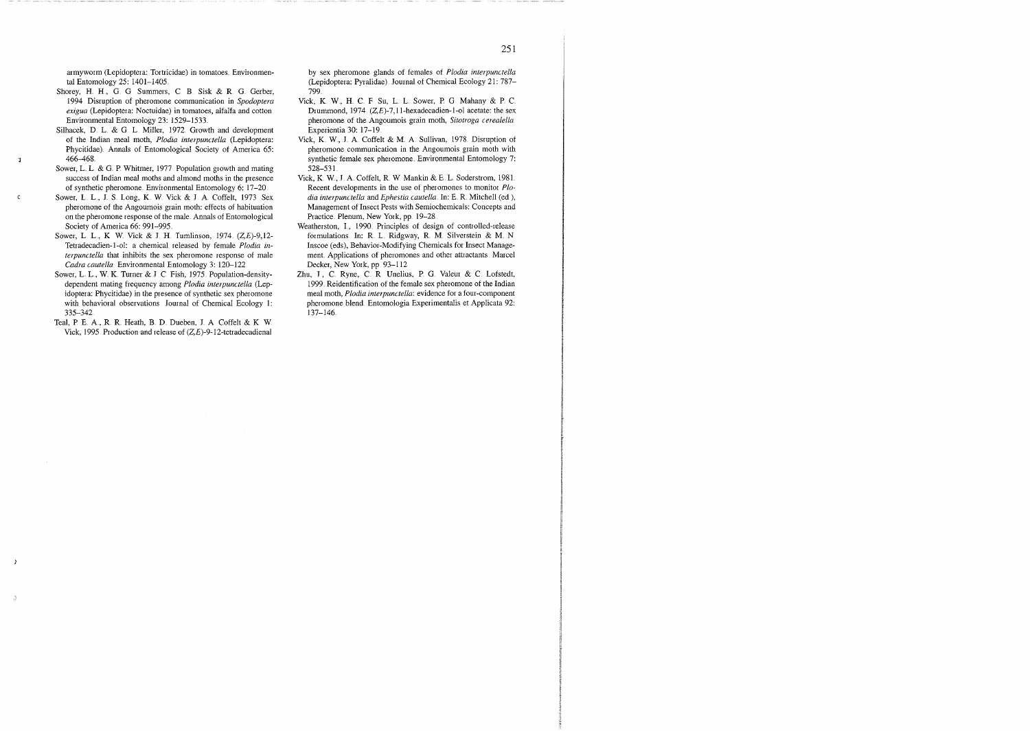armyworm (Lepidoptera: Tortricidae) in tomatoes. Environmental Entomology 25: 1401-1405

- Shorey, H. H., G. G Summers, C. B. Sisk & R. G. Gerber, 1994 Disruption of pheromone communication in *Spodoptera*  exigua (Lepidoptera: Noctuidae) in tomatoes, alfalfa and cotton. Environmental Entomology 23: 1529-1533.
- Silhacek, D. L. & G. L. Miller, 1972. Growth and development of the Indian meal moth, *Plodia interpunctella* (Lepidoptera: Phycitidae) Annals of Entomological Society of America 65. 466-468

 $\mathbf{J}$ 

 $\mathbf{C}$ 

- Sower, L. L. & G. P. Whitmer, 1977. Population growth and mating success of Indian meal moths and almond moths in the presence of synthetic pheromone Environmental Entomology 6. 17-20
- Sower, L. L., J. S. Long, K. W. Vick & J. A. Coffelt, 1973. Sex pheromone of the Angoumois grain moth: effects of habituation on the pheromone response of the male Annals of Entomological Society of America 66: 991-995.
- Sower, L. L., K. W. Vick & J. H. Tumlinson, 1974. (Z,E)-9,12-Tetradecadien-1-01. a chemical released by female *Plodia interpunctella* that inhibits the sex pheromone response of male *Cadra cautella* Environmental Entomology 3: 120-122.
- Sower, L. L., W. K. Turner & J. C. Fish, 1975. Population-densitydependent mating frequency among *Plodia interpunctella* (Lepidoptera: Phycitidae) in the presence of synthetic sex pheromone with behavioral observations lournal of Chemical Ecology 1 335-342
- Teal, P. E. A., R. R. Heath, B. D. Dueben, J. A. Coffelt & K. W. Vick, 1995 Production and release of  $(Z, E)$ -9-12-tetradecadienal

by sex pheromone glands of females of *Plodia interpunctella*  (Lepidoptera: Pyralidae) Journal of Chemical Ecology 21: 787- 799

- Vick, K W, H C F Su, L L Sower, P G Mahany & P C Diummond, 1974 **(Z,E)-7,ll-hexadecadien-1-01** acetate: the sex pheromone of the Angoumois grain moth, *Sitotroga cerealella*  Experientia 30: 17-19
- Vick, K W, J A Coffelt & M A Sullivan, 1978 Disruption of pheromone communication in the Angoumois grain moth with synthetic female sex pheromone. Environmental Entomology 7: 528-53 1
- Vick, K W, I A Coffelt, R W Mankm & E L Soderstrom, 1981 Recent developments in the use of pheromones to monitoi *Plodia interpunctella and Ephestia cautella*. In: E. R. Mitchell (ed ), Management of Insect Pests with Semiochemicals: Concepts and Practice. Plenum, New York, pp. 19-28.
- Weatherston, I., 1990. Principles of design of controlled-release formulations In: R. L. Ridgway, R. M. Silverstein & M. N. Inscoe (eds), Behavior-Modifying Chemicals for Insect Management Applications of pheromones and other attractants Marcel Decker, New York, pp. 93-112
- Zhu, J., C. Ryne, C. R. Unelius, P. G. Valeur & C. Lofstedt, 1999 Reidentification of the female sex pheromone of the Indian meal moth, *Plodia interpunctella*: evidence for a four-component pheromone blend. Entomologia Experimentalis et Applicata 92:  $137 - 146$